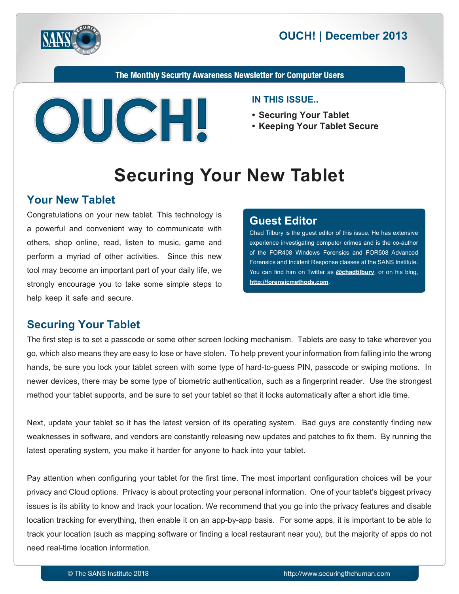



The Monthly Security Awareness Newsletter for Computer Users



#### **IN THIS ISSUE...**

- **Securing Your Tablet**
- **Keeping Your Tablet Secure**

# **Securing Your New Tablet**

#### **Your New Tablet**

Congratulations on your new tablet. This technology is a powerful and convenient way to communicate with others, shop online, read, listen to music, game and perform a myriad of other activities. Since this new tool may become an important part of your daily life, we strongly encourage you to take some simple steps to help keep it safe and secure.

#### **Editor Guest**

Chad Tilbury is the guest editor of this issue. He has extensive experience investigating computer crimes and is the co-author of the FOR408 Windows Forensics and FOR508 Advanced Forensics and Incident Response classes at the SANS Institute. You can find him on Twitter as **@[chadtilbury](https://twitter.com/chadtilbury)**, or on his blog, http://forensicmethods.com.

## **Securing Your Tablet**

The first step is to set a passcode or some other screen locking mechanism. Tablets are easy to take wherever you go, which also means they are easy to lose or have stolen. To help prevent your information from falling into the wrong hands, be sure you lock your tablet screen with some type of hard-to-guess PIN, passcode or swiping motions. In newer devices, there may be some type of biometric authentication, such as a fingerprint reader. Use the strongest method your tablet supports, and be sure to set your tablet so that it locks automatically after a short idle time.

Next, update your tablet so it has the latest version of its operating system. Bad guys are constantly finding new weaknesses in software, and vendors are constantly releasing new updates and patches to fix them. By running the latest operating system, you make it harder for anyone to hack into your tablet.

Pay attention when configuring your tablet for the first time. The most important configuration choices will be your privacy and Cloud options. Privacy is about protecting your personal information. One of your tablet's biggest privacy issues is its ability to know and track your location. We recommend that you go into the privacy features and disable location tracking for everything, then enable it on an app-by-app basis. For some apps, it is important to be able to track your location (such as mapping software or finding a local restaurant near you), but the majority of apps do not need real-time location information.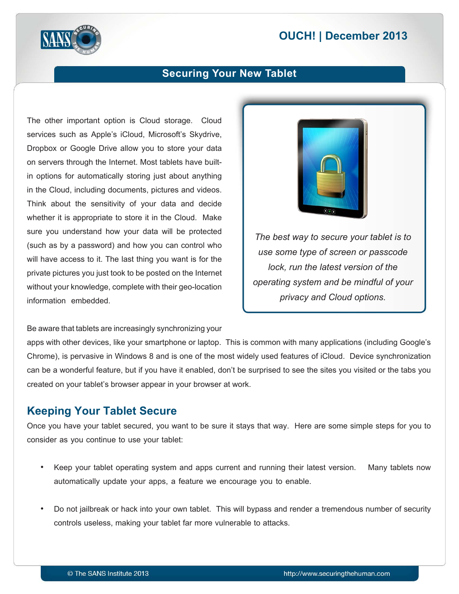# **2013 December 2013**



### **Securing Your New Tablet**

The other important option is Cloud storage. Cloud services such as Apple's iCloud, Microsoft's Skydrive, Dropbox or Google Drive allow you to store your data in options for automatically storing just about anything on servers through the Internet. Most tablets have builtin the Cloud, including documents, pictures and videos. Think about the sensitivity of your data and decide whether it is appropriate to store it in the Cloud. Make sure you understand how your data will be protected (such as by a password) and how you can control who will have access to it. The last thing you want is for the private pictures you just took to be posted on the Internet without your knowledge, complete with their geo-location information embedded.

#### Be aware that tablets are increasingly synchronizing your

apps with other devices, like your smartphone or laptop. This is common with many applications (including Google's Chrome), is pervasive in Windows 8 and is one of the most widely used features of iCloud. Device synchronization can be a wonderful feature, but if you have it enabled, don't be surprised to see the sites you visited or the tabs you created on your tablet's browser appear in your browser at work.

#### **Keeping Your Tablet Secure**

Once you have your tablet secured, you want to be sure it stays that way. Here are some simple steps for you to consider as you continue to use your tablet:

- Keep your tablet operating system and apps current and running their latest version. Many tablets now automatically update your apps, a feature we encourage you to enable.
- Do not jailbreak or hack into your own tablet. This will bypass and render a tremendous number of security controls useless, making your tablet far more vulnerable to attacks.



*The best way to secure your tablet is to use some type of screen or passcode lock, run the latest version of the operating system and be mindful of your .options Cloud and privacy*